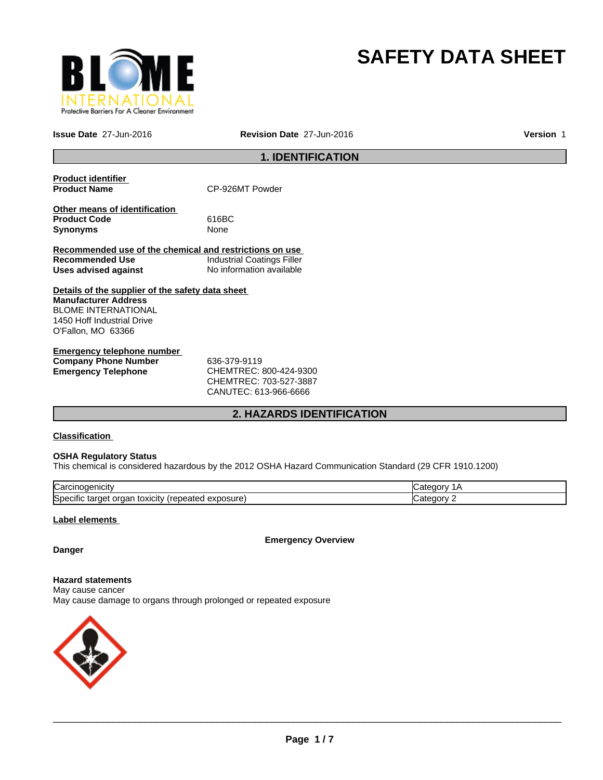

## **SAFETY DATA SHEET**

**Issue Date** 27-Jun-2016 **Revision Date** 27-Jun-2016

**Version** 1

### **1. IDENTIFICATION**

| <b>Product identifier</b><br><b>Product Name</b>                        | CP-926MT Powder                   |
|-------------------------------------------------------------------------|-----------------------------------|
| Other means of identification<br><b>Product Code</b><br><b>Synonyms</b> | 616BC<br>None                     |
| Recommended use of the chemical and restrictions on use                 |                                   |
| Recommended Use                                                         | <b>Industrial Coatings Filler</b> |
| Uses advised against                                                    | No information available          |
| Details of the supplier of the safety data sheet                        |                                   |
| <b>Manufacturer Address</b>                                             |                                   |
| <b>BLOME INTERNATIONAL</b>                                              |                                   |
| 1450 Hoff Industrial Drive                                              |                                   |
| O'Fallon, MO 63366                                                      |                                   |
| Emergency telephone number                                              |                                   |

| Emergency telephone number  |                            |
|-----------------------------|----------------------------|
| <b>Company Phone Number</b> | 636-379-9119               |
| Emergency Telephone         | CHEMTREC: 800-424-9300     |
|                             | CUTEM T D E C·702 E27 2007 |

CHEMTREC: 703-527-3887 CANUTEC: 613-966-6666

#### **2. HAZARDS IDENTIFICATION**

#### **Classification**

#### **OSHA Regulatory Status**

This chemical is considered hazardous by the 2012 OSHA Hazard Communication Standard (29 CFR 1910.1200)

| ∽<br>lual                                                                            |  |
|--------------------------------------------------------------------------------------|--|
| <b>S</b> pe<br>osur<br>эню<br>eatec<br>targe<br><b>TOXICILY</b><br>Jа<br>58 U<br>. . |  |

#### **Label elements**

**Emergency Overview**

#### **Danger**

**Hazard statements** May cause cancer May cause damage to organs through prolonged or repeated exposure

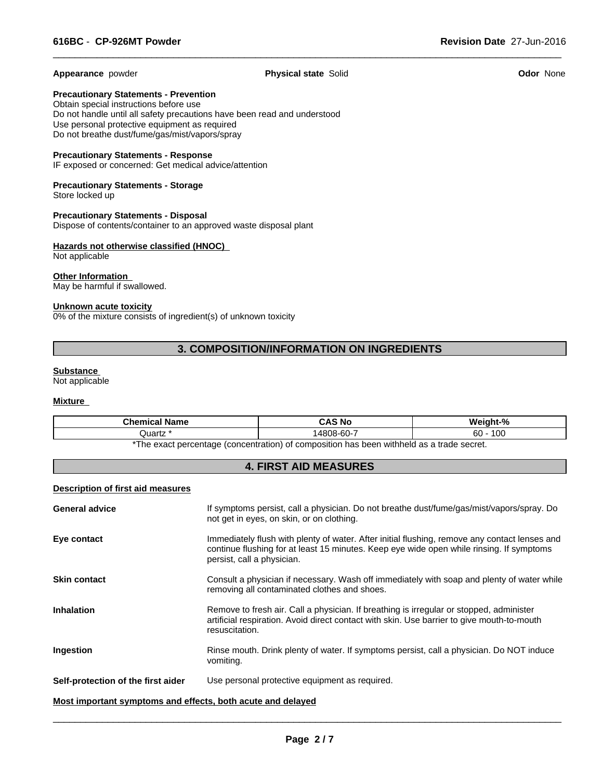**Appearance** powder **Physical state** Solid **Odor** None

 $\overline{\phantom{a}}$  ,  $\overline{\phantom{a}}$  ,  $\overline{\phantom{a}}$  ,  $\overline{\phantom{a}}$  ,  $\overline{\phantom{a}}$  ,  $\overline{\phantom{a}}$  ,  $\overline{\phantom{a}}$  ,  $\overline{\phantom{a}}$  ,  $\overline{\phantom{a}}$  ,  $\overline{\phantom{a}}$  ,  $\overline{\phantom{a}}$  ,  $\overline{\phantom{a}}$  ,  $\overline{\phantom{a}}$  ,  $\overline{\phantom{a}}$  ,  $\overline{\phantom{a}}$  ,  $\overline{\phantom{a}}$ 

**Precautionary Statements - Prevention**

Obtain special instructions before use Do not handle until all safety precautions have been read and understood Use personal protective equipment as required Do not breathe dust/fume/gas/mist/vapors/spray

#### **Precautionary Statements - Response**

IF exposed or concerned: Get medical advice/attention

#### **Precautionary Statements - Storage** Store locked up

**Precautionary Statements - Disposal** Dispose of contents/container to an approved waste disposal plant

#### **Hazards not otherwise classified (HNOC)**  Not applicable

**Other Information**  May be harmful if swallowed.

#### **Unknown acute toxicity**

0% of the mixture consists of ingredient(s) of unknown toxicity

#### **3. COMPOSITION/INFORMATION ON INGREDIENTS**

#### **Substance**

Not applicable

#### **Mixture**

| <b>Chamissity</b><br>∣Name<br>ншсаг | .S No<br>$\mathbf{v}$     | $\mathbf{a}$           |  |
|-------------------------------------|---------------------------|------------------------|--|
| Quartz                              | $\sim$<br>⊣480″<br>ງ8-60- | $\sqrt{2}$<br>60<br>טע |  |
|                                     | .                         |                        |  |

\*The exact percentage (concentration) of composition has been withheld as a trade secret.

#### **4. FIRST AID MEASURES**

#### **Description of first aid measures**

|                       | vomiting.                                                                                                                                                                                                               |
|-----------------------|-------------------------------------------------------------------------------------------------------------------------------------------------------------------------------------------------------------------------|
| Ingestion             | Rinse mouth. Drink plenty of water. If symptoms persist, call a physician. Do NOT induce                                                                                                                                |
| <b>Inhalation</b>     | Remove to fresh air. Call a physician. If breathing is irregular or stopped, administer<br>artificial respiration. Avoid direct contact with skin. Use barrier to give mouth-to-mouth<br>resuscitation.                 |
| <b>Skin contact</b>   | Consult a physician if necessary. Wash off immediately with soap and plenty of water while<br>removing all contaminated clothes and shoes.                                                                              |
| Eye contact           | Immediately flush with plenty of water. After initial flushing, remove any contact lenses and<br>continue flushing for at least 15 minutes. Keep eye wide open while rinsing. If symptoms<br>persist, call a physician. |
| <b>General advice</b> | If symptoms persist, call a physician. Do not breathe dust/fume/gas/mist/vapors/spray. Do<br>not get in eyes, on skin, or on clothing.                                                                                  |
|                       |                                                                                                                                                                                                                         |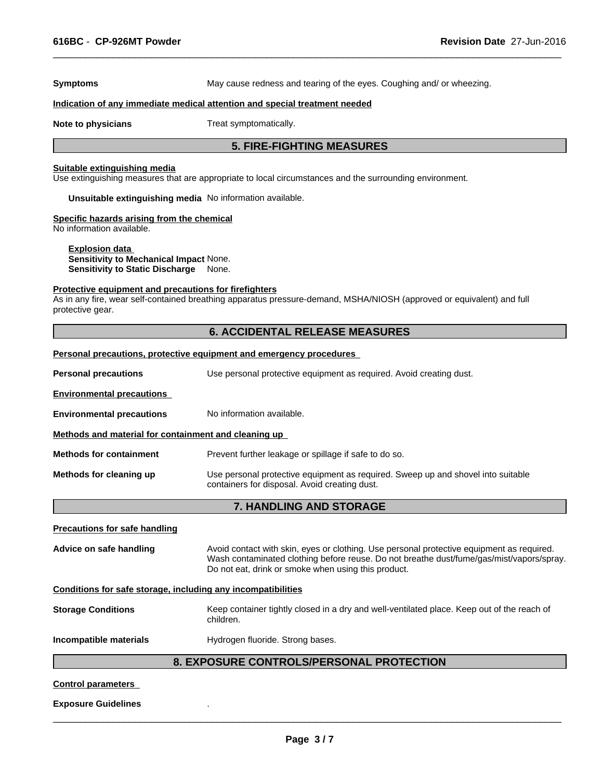**Symptoms** May cause redness and tearing of the eyes. Coughing and/ or wheezing.

 $\overline{\phantom{a}}$  ,  $\overline{\phantom{a}}$  ,  $\overline{\phantom{a}}$  ,  $\overline{\phantom{a}}$  ,  $\overline{\phantom{a}}$  ,  $\overline{\phantom{a}}$  ,  $\overline{\phantom{a}}$  ,  $\overline{\phantom{a}}$  ,  $\overline{\phantom{a}}$  ,  $\overline{\phantom{a}}$  ,  $\overline{\phantom{a}}$  ,  $\overline{\phantom{a}}$  ,  $\overline{\phantom{a}}$  ,  $\overline{\phantom{a}}$  ,  $\overline{\phantom{a}}$  ,  $\overline{\phantom{a}}$ 

#### **Indication of any immediate medical attention and special treatment needed**

**Note to physicians** Treat symptomatically.

#### **5. FIRE-FIGHTING MEASURES**

#### **Suitable extinguishing media**

Use extinguishing measures that are appropriate to local circumstances and the surrounding environment.

**Unsuitable extinguishing media** No information available.

#### **Specific hazards arising from the chemical**

No information available.

**Explosion data Sensitivity to Mechanical Impact** None. **Sensitivity to Static Discharge** None.

#### **Protective equipment and precautions for firefighters**

As in any fire, wear self-contained breathing apparatus pressure-demand, MSHA/NIOSH (approved or equivalent) and full protective gear.

#### **6. ACCIDENTAL RELEASE MEASURES**

#### **Personal precautions, protective equipment and emergency procedures**

**Personal precautions** Use personal protective equipment as required. Avoid creating dust.

**Environmental precautions** 

#### **Environmental precautions** No information available.

**Methods and material for containment and cleaning up** 

**Methods for containment** Prevent further leakage or spillage if safe to do so.

**Methods for cleaning up** Use personal protective equipment as required. Sweep up and shovel into suitable containers for disposal. Avoid creating dust.

#### **7. HANDLING AND STORAGE**

#### **Precautions for safe handling**

**Advice on safe handling** Avoid contact with skin, eyes or clothing. Use personal protective equipment as required. Wash contaminated clothing before reuse. Do not breathe dust/fume/gas/mist/vapors/spray. Do not eat, drink or smoke when using this product.

#### **Conditions for safe storage, including any incompatibilities**

**Storage Conditions** Keep container tightly closed in a dry and well-ventilated place. Keep out of the reach of children.

**Incompatible materials Hydrogen fluoride. Strong bases.** 

#### **8. EXPOSURE CONTROLS/PERSONAL PROTECTION**

#### **Control parameters**

#### **Exposure Guidelines** .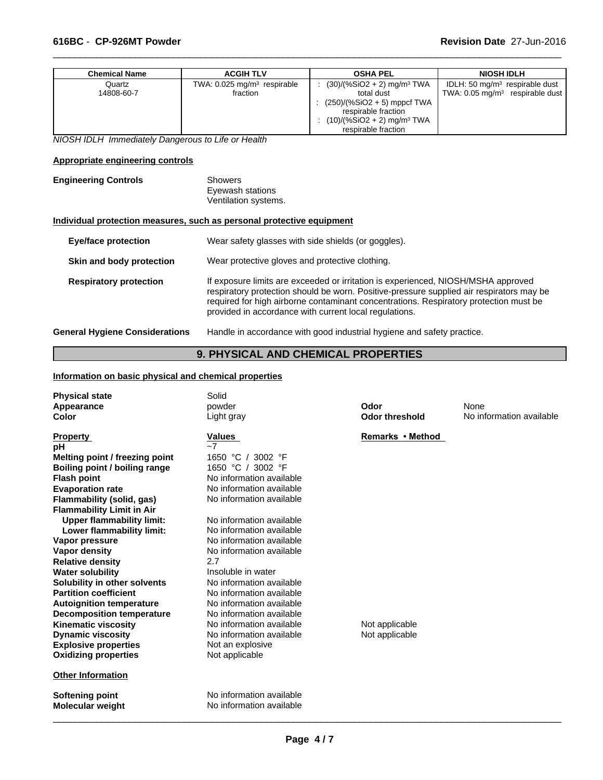| <b>Chemical Name</b> | <b>ACGIH TLV</b>                          | <b>OSHA PEL</b>                          | <b>NIOSH IDLH</b>                          |
|----------------------|-------------------------------------------|------------------------------------------|--------------------------------------------|
| Quartz               | TWA: $0.025$ mg/m <sup>3</sup> respirable | $(30)/(%SiO2 + 2)$ mg/m <sup>3</sup> TWA | IDLH: 50 $mq/m3$ respirable dust           |
| 14808-60-7           | fraction                                  | total dust                               | TWA: $0.05 \text{ mg/m}^3$ respirable dust |
|                      |                                           | : $(250)/(%SiO2 + 5)$ mppcf TWA          |                                            |
|                      |                                           | respirable fraction                      |                                            |
|                      |                                           | $(10)/(%SiO2 + 2)$ mg/m <sup>3</sup> TWA |                                            |
|                      |                                           | respirable fraction                      |                                            |

 $\overline{\phantom{a}}$  ,  $\overline{\phantom{a}}$  ,  $\overline{\phantom{a}}$  ,  $\overline{\phantom{a}}$  ,  $\overline{\phantom{a}}$  ,  $\overline{\phantom{a}}$  ,  $\overline{\phantom{a}}$  ,  $\overline{\phantom{a}}$  ,  $\overline{\phantom{a}}$  ,  $\overline{\phantom{a}}$  ,  $\overline{\phantom{a}}$  ,  $\overline{\phantom{a}}$  ,  $\overline{\phantom{a}}$  ,  $\overline{\phantom{a}}$  ,  $\overline{\phantom{a}}$  ,  $\overline{\phantom{a}}$ 

*NIOSH IDLH Immediately Dangerous to Life or Health*

#### **Appropriate engineering controls**

| <b>Engineering Controls</b> | Showers              |
|-----------------------------|----------------------|
|                             | Eyewash stations     |
|                             | Ventilation systems. |

#### **Individual protection measures, such as personal protective equipment**

| <b>Eye/face protection</b>            | Wear safety glasses with side shields (or goggles).                                                                                                                                                                                                                                                                              |
|---------------------------------------|----------------------------------------------------------------------------------------------------------------------------------------------------------------------------------------------------------------------------------------------------------------------------------------------------------------------------------|
| Skin and body protection              | Wear protective gloves and protective clothing.                                                                                                                                                                                                                                                                                  |
| <b>Respiratory protection</b>         | If exposure limits are exceeded or irritation is experienced, NIOSH/MSHA approved<br>respiratory protection should be worn. Positive-pressure supplied air respirators may be<br>required for high airborne contaminant concentrations. Respiratory protection must be<br>provided in accordance with current local regulations. |
| <b>General Hygiene Considerations</b> | Handle in accordance with good industrial hygiene and safety practice.                                                                                                                                                                                                                                                           |

## **9. PHYSICAL AND CHEMICAL PROPERTIES**

#### **Information on basic physical and chemical properties**

| <b>Physical state</b>            | Solid                    |                       |                          |
|----------------------------------|--------------------------|-----------------------|--------------------------|
| Appearance                       | powder                   | Odor                  | None                     |
| Color                            | Light gray               | <b>Odor threshold</b> | No information available |
| <b>Property</b>                  | <b>Values</b>            | Remarks • Method      |                          |
| рH                               | $-7$                     |                       |                          |
| Melting point / freezing point   | 1650 °C /<br>3002 °F     |                       |                          |
| Boiling point / boiling range    | 1650 °C / 3002 °F        |                       |                          |
| <b>Flash point</b>               | No information available |                       |                          |
| <b>Evaporation rate</b>          | No information available |                       |                          |
| Flammability (solid, gas)        | No information available |                       |                          |
| <b>Flammability Limit in Air</b> |                          |                       |                          |
| <b>Upper flammability limit:</b> | No information available |                       |                          |
| Lower flammability limit:        | No information available |                       |                          |
| Vapor pressure                   | No information available |                       |                          |
| Vapor density                    | No information available |                       |                          |
| <b>Relative density</b>          | 2.7                      |                       |                          |
| <b>Water solubility</b>          | Insoluble in water       |                       |                          |
| Solubility in other solvents     | No information available |                       |                          |
| <b>Partition coefficient</b>     | No information available |                       |                          |
| <b>Autoignition temperature</b>  | No information available |                       |                          |
| <b>Decomposition temperature</b> | No information available |                       |                          |
| <b>Kinematic viscosity</b>       | No information available | Not applicable        |                          |
| <b>Dynamic viscosity</b>         | No information available | Not applicable        |                          |
| <b>Explosive properties</b>      | Not an explosive         |                       |                          |
| <b>Oxidizing properties</b>      | Not applicable           |                       |                          |
| <b>Other Information</b>         |                          |                       |                          |
| Softening point                  | No information available |                       |                          |
| <b>Molecular weight</b>          | No information available |                       |                          |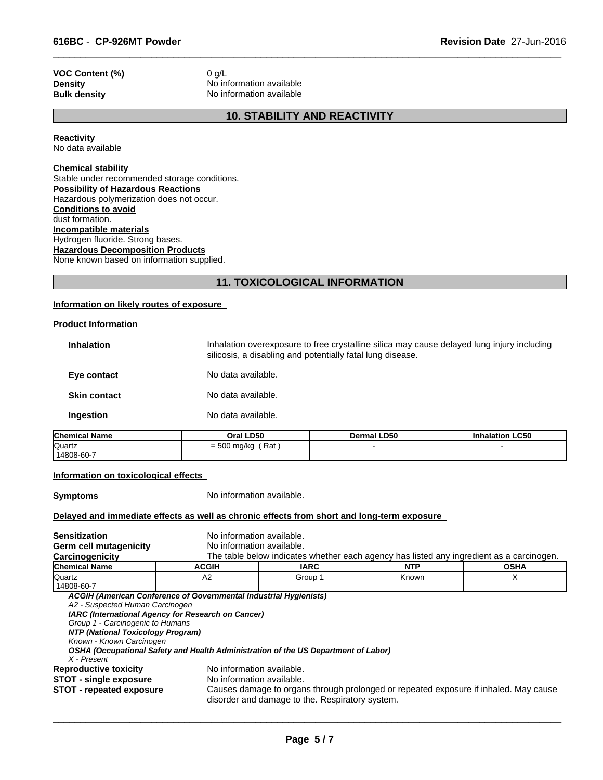# **VOC Content (%)** 0 g/L<br>**Density** No inf

**Density** No information available<br> **Bulk density** No information available **No information available** 

#### **10. STABILITY AND REACTIVITY**

 $\overline{\phantom{a}}$  ,  $\overline{\phantom{a}}$  ,  $\overline{\phantom{a}}$  ,  $\overline{\phantom{a}}$  ,  $\overline{\phantom{a}}$  ,  $\overline{\phantom{a}}$  ,  $\overline{\phantom{a}}$  ,  $\overline{\phantom{a}}$  ,  $\overline{\phantom{a}}$  ,  $\overline{\phantom{a}}$  ,  $\overline{\phantom{a}}$  ,  $\overline{\phantom{a}}$  ,  $\overline{\phantom{a}}$  ,  $\overline{\phantom{a}}$  ,  $\overline{\phantom{a}}$  ,  $\overline{\phantom{a}}$ 

**Reactivity**  No data available

#### **Chemical stability**

Stable under recommended storage conditions. **Possibility of Hazardous Reactions** Hazardous polymerization does not occur. **Conditions to avoid** dust formation. **Incompatible materials** Hydrogen fluoride. Strong bases. **Hazardous Decomposition Products** None known based on information supplied.

#### **11. TOXICOLOGICAL INFORMATION**

#### **Information on likely routes of exposure**

#### **Product Information**

| No data available.<br>Ingestion                                                                                                                                               |
|-------------------------------------------------------------------------------------------------------------------------------------------------------------------------------|
|                                                                                                                                                                               |
| No data available.<br><b>Skin contact</b>                                                                                                                                     |
| No data available.<br>Eye contact                                                                                                                                             |
| Inhalation overexposure to free crystalline silica may cause delayed lung injury including<br><b>Inhalation</b><br>silicosis, a disabling and potentially fatal lung disease. |

| <b>Chemical Name</b> | Oral LD50            | Dermal LD50 | <b>Inhalation LC50</b> |  |
|----------------------|----------------------|-------------|------------------------|--|
| Quartz               | Rat<br>$= 500$ mg/kg |             |                        |  |
| 14808-60-7           |                      |             |                        |  |

#### **Information on toxicological effects**

**Symptoms** No information available.

#### **Delayed and immediate effects as well as chronic effects from short and long-term exposure**

| <b>Sensitization</b>              | No information available.                                                                |                                                                                                                                         |       |   |  |  |  |
|-----------------------------------|------------------------------------------------------------------------------------------|-----------------------------------------------------------------------------------------------------------------------------------------|-------|---|--|--|--|
| Germ cell mutagenicity            | No information available.                                                                |                                                                                                                                         |       |   |  |  |  |
| Carcinogenicity                   | The table below indicates whether each agency has listed any ingredient as a carcinogen. |                                                                                                                                         |       |   |  |  |  |
| <b>Chemical Name</b>              | <b>ACGIH</b>                                                                             | <b>IARC</b><br><b>NTP</b><br><b>OSHA</b>                                                                                                |       |   |  |  |  |
| <b>Quartz</b>                     | A2                                                                                       | Group 1                                                                                                                                 | Known | X |  |  |  |
| 14808-60-7                        |                                                                                          |                                                                                                                                         |       |   |  |  |  |
|                                   | ACGIH (American Conference of Governmental Industrial Hygienists)                        |                                                                                                                                         |       |   |  |  |  |
| A2 - Suspected Human Carcinogen   |                                                                                          |                                                                                                                                         |       |   |  |  |  |
|                                   | IARC (International Agency for Research on Cancer)                                       |                                                                                                                                         |       |   |  |  |  |
| Group 1 - Carcinogenic to Humans  |                                                                                          |                                                                                                                                         |       |   |  |  |  |
| NTP (National Toxicology Program) |                                                                                          |                                                                                                                                         |       |   |  |  |  |
| Known - Known Carcinogen          |                                                                                          |                                                                                                                                         |       |   |  |  |  |
|                                   |                                                                                          | OSHA (Occupational Safety and Health Administration of the US Department of Labor)                                                      |       |   |  |  |  |
| X - Present                       |                                                                                          |                                                                                                                                         |       |   |  |  |  |
| <b>Reproductive toxicity</b>      | No information available.                                                                |                                                                                                                                         |       |   |  |  |  |
| <b>STOT - single exposure</b>     | No information available.                                                                |                                                                                                                                         |       |   |  |  |  |
| <b>STOT - repeated exposure</b>   |                                                                                          | Causes damage to organs through prolonged or repeated exposure if inhaled. May cause<br>disorder and damage to the. Respiratory system. |       |   |  |  |  |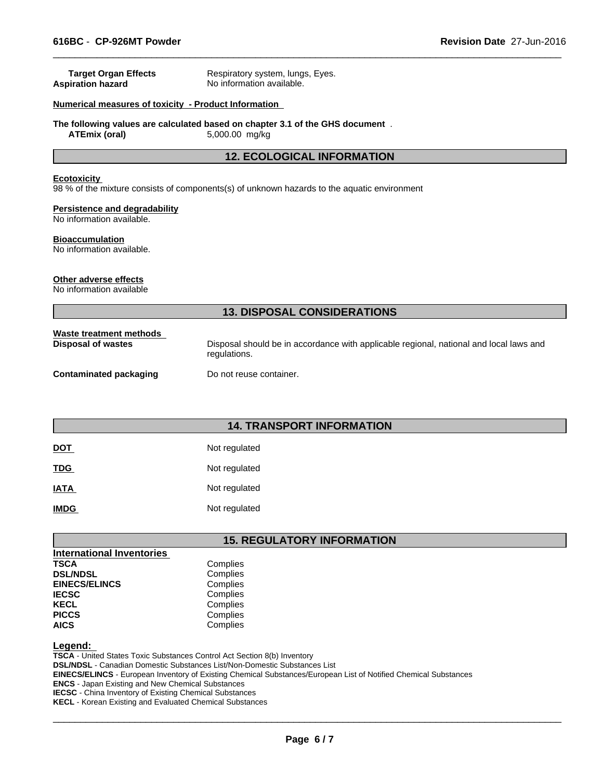| <b>Target Organ Effects</b><br><b>Aspiration hazard</b>           | Respiratory system, lungs, Eyes.<br>No information available.                                          |  |  |  |  |
|-------------------------------------------------------------------|--------------------------------------------------------------------------------------------------------|--|--|--|--|
| Numerical measures of toxicity - Product Information              |                                                                                                        |  |  |  |  |
| <b>ATEmix (oral)</b>                                              | The following values are calculated based on chapter 3.1 of the GHS document.<br>5,000.00 mg/kg        |  |  |  |  |
|                                                                   | <b>12. ECOLOGICAL INFORMATION</b>                                                                      |  |  |  |  |
| <b>Ecotoxicity</b>                                                | 98 % of the mixture consists of components(s) of unknown hazards to the aquatic environment            |  |  |  |  |
| <b>Persistence and degradability</b><br>No information available. |                                                                                                        |  |  |  |  |
| <b>Bioaccumulation</b><br>No information available.               |                                                                                                        |  |  |  |  |
| Other adverse effects<br>No information available                 |                                                                                                        |  |  |  |  |
|                                                                   | <b>13. DISPOSAL CONSIDERATIONS</b>                                                                     |  |  |  |  |
| Waste treatment methods<br><b>Disposal of wastes</b>              | Disposal should be in accordance with applicable regional, national and local laws and<br>regulations. |  |  |  |  |
| <b>Contaminated packaging</b>                                     | Do not reuse container.                                                                                |  |  |  |  |
|                                                                   |                                                                                                        |  |  |  |  |
|                                                                   | <b>14. TRANSPORT INFORMATION</b>                                                                       |  |  |  |  |

| <b>DOT</b>  | Not regulated |
|-------------|---------------|
| <b>TDG</b>  | Not regulated |
| <b>IATA</b> | Not regulated |
| <b>IMDG</b> | Not regulated |

#### **15. REGULATORY INFORMATION**

| <b>International Inventories</b> |          |
|----------------------------------|----------|
| <b>TSCA</b>                      | Complies |
| <b>DSL/NDSL</b>                  | Complies |
| <b>EINECS/ELINCS</b>             | Complies |
| <b>IECSC</b>                     | Complies |
| <b>KECL</b>                      | Complies |
| <b>PICCS</b>                     | Complies |
| <b>AICS</b>                      | Complies |

#### **Legend:**

**TSCA** - United States Toxic Substances Control Act Section 8(b) Inventory **DSL/NDSL** - Canadian Domestic Substances List/Non-Domestic Substances List **EINECS/ELINCS** - European Inventory of Existing Chemical Substances/European List of Notified Chemical Substances **ENCS** - Japan Existing and New Chemical Substances **IECSC** - China Inventory of Existing Chemical Substances **KECL** - Korean Existing and Evaluated Chemical Substances